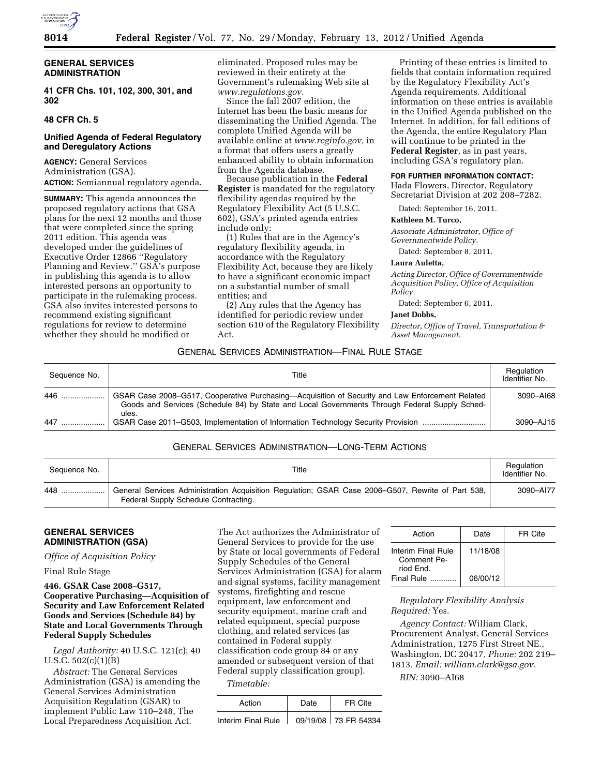

# **GENERAL SERVICES ADMINISTRATION**

**41 CFR Chs. 101, 102, 300, 301, and 302** 

# **48 CFR Ch. 5**

# **Unified Agenda of Federal Regulatory and Deregulatory Actions**

**AGENCY:** General Services Administration (GSA). **ACTION:** Semiannual regulatory agenda.

**SUMMARY:** This agenda announces the proposed regulatory actions that GSA plans for the next 12 months and those that were completed since the spring 2011 edition. This agenda was developed under the guidelines of Executive Order 12866 ''Regulatory Planning and Review.'' GSA's purpose in publishing this agenda is to allow interested persons an opportunity to participate in the rulemaking process. GSA also invites interested persons to recommend existing significant regulations for review to determine whether they should be modified or

eliminated. Proposed rules may be reviewed in their entirety at the Government's rulemaking Web site at *[www.regulations.gov](http://www.regulations.gov)*.

Since the fall 2007 edition, the Internet has been the basic means for disseminating the Unified Agenda. The complete Unified Agenda will be available online at *[www.reginfo.gov,](http://www.reginfo.gov)* in a format that offers users a greatly enhanced ability to obtain information from the Agenda database.

Because publication in the **Federal Register** is mandated for the regulatory flexibility agendas required by the Regulatory Flexibility Act (5 U.S.C. 602), GSA's printed agenda entries include only:

(1) Rules that are in the Agency's regulatory flexibility agenda, in accordance with the Regulatory Flexibility Act, because they are likely to have a significant economic impact on a substantial number of small entities; and

(2) Any rules that the Agency has identified for periodic review under section 610 of the Regulatory Flexibility Act.

Printing of these entries is limited to fields that contain information required by the Regulatory Flexibility Act's Agenda requirements. Additional information on these entries is available in the Unified Agenda published on the Internet. In addition, for fall editions of the Agenda, the entire Regulatory Plan will continue to be printed in the **Federal Register**, as in past years, including GSA's regulatory plan.

## **FOR FURTHER INFORMATION CONTACT:**

Hada Flowers, Director, Regulatory Secretariat Division at 202 208–7282.

Dated: September 16, 2011.

#### **Kathleen M. Turco,**

*Associate Administrator, Office of Governmentwide Policy.* 

Dated: September 8, 2011.

#### **Laura Auletta,**

*Acting Director, Office of Governmentwide Acquisition Policy, Office of Acquisition Policy.* 

Dated: September 6, 2011.

#### **Janet Dobbs,**

*Director, Office of Travel, Transportation & Asset Management.* 

### GENERAL SERVICES ADMINISTRATION—FINAL RULE STAGE

| Sequence No. | Title                                                                                                                                                                                                     | Regulation<br>Identifier No. |
|--------------|-----------------------------------------------------------------------------------------------------------------------------------------------------------------------------------------------------------|------------------------------|
| 446          | GSAR Case 2008–G517, Cooperative Purchasing—Acquisition of Security and Law Enforcement Related<br>Goods and Services (Schedule 84) by State and Local Governments Through Federal Supply Sched-<br>ules. | 3090-AI68                    |
| 447          | GSAR Case 2011–G503, Implementation of Information Technology Security Provision                                                                                                                          | 3090-AJ15                    |

# GENERAL SERVICES ADMINISTRATION—LONG-TERM ACTIONS

| Sequence No. | Title                                                                                                                                     | Regulation<br>Identifier No. |
|--------------|-------------------------------------------------------------------------------------------------------------------------------------------|------------------------------|
| 448          | General Services Administration Acquisition Regulation; GSAR Case 2006–G507, Rewrite of Part 538,<br>Federal Supply Schedule Contracting. | 3090-AI77                    |

# **GENERAL SERVICES ADMINISTRATION (GSA)**

*Office of Acquisition Policy* 

Final Rule Stage

**446. GSAR Case 2008–G517, Cooperative Purchasing—Acquisition of Security and Law Enforcement Related Goods and Services (Schedule 84) by State and Local Governments Through Federal Supply Schedules** 

*Legal Authority:* 40 U.S.C. 121(c); 40 U.S.C. 502(c)(1)(B)

*Abstract:* The General Services Administration (GSA) is amending the General Services Administration Acquisition Regulation (GSAR) to implement Public Law 110–248, The Local Preparedness Acquisition Act.

The Act authorizes the Administrator of General Services to provide for the use by State or local governments of Federal Supply Schedules of the General Services Administration (GSA) for alarm and signal systems, facility management systems, firefighting and rescue equipment, law enforcement and security equipment, marine craft and related equipment, special purpose clothing, and related services (as contained in Federal supply classification code group 84 or any amended or subsequent version of that Federal supply classification group).

*Timetable:* 

| Action             | Date | FR Cite              |
|--------------------|------|----------------------|
| Interim Final Rule |      | 09/19/08 73 FR 54334 |

| Action                                         | Date     | FR Cite |
|------------------------------------------------|----------|---------|
| Interim Final Rule<br>Comment Pe-<br>riod End. | 11/18/08 |         |
| Final Rule                                     | 06/00/12 |         |

*Regulatory Flexibility Analysis Required:* Yes.

*Agency Contact:* William Clark, Procurement Analyst, General Services Administration, 1275 First Street NE., Washington, DC 20417, *Phone:* 202 219– 1813, *Email: [william.clark@gsa.gov.](mailto:william.clark@gsa.gov)* 

*RIN:* 3090–AI68